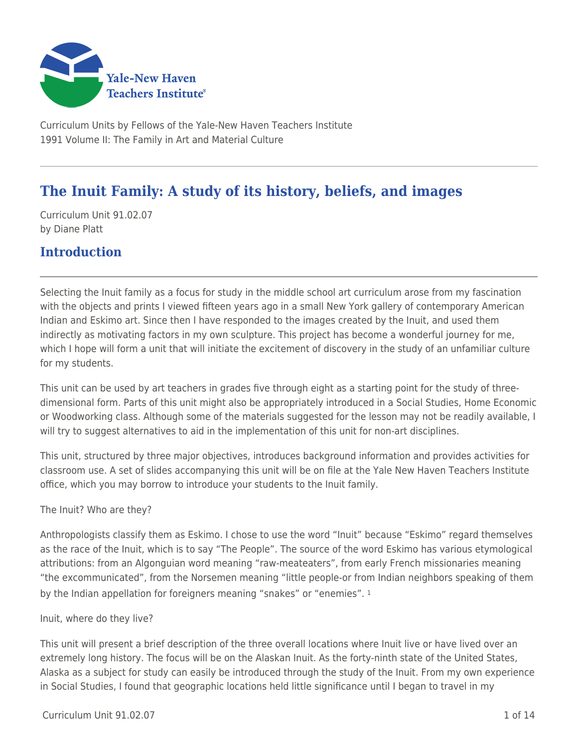

Curriculum Units by Fellows of the Yale-New Haven Teachers Institute 1991 Volume II: The Family in Art and Material Culture

# **The Inuit Family: A study of its history, beliefs, and images**

Curriculum Unit 91.02.07 by Diane Platt

# **Introduction**

Selecting the Inuit family as a focus for study in the middle school art curriculum arose from my fascination with the objects and prints I viewed fifteen years ago in a small New York gallery of contemporary American Indian and Eskimo art. Since then I have responded to the images created by the Inuit, and used them indirectly as motivating factors in my own sculpture. This project has become a wonderful journey for me, which I hope will form a unit that will initiate the excitement of discovery in the study of an unfamiliar culture for my students.

This unit can be used by art teachers in grades five through eight as a starting point for the study of threedimensional form. Parts of this unit might also be appropriately introduced in a Social Studies, Home Economic or Woodworking class. Although some of the materials suggested for the lesson may not be readily available, I will try to suggest alternatives to aid in the implementation of this unit for non-art disciplines.

This unit, structured by three major objectives, introduces background information and provides activities for classroom use. A set of slides accompanying this unit will be on file at the Yale New Haven Teachers Institute office, which you may borrow to introduce your students to the Inuit family.

## The Inuit? Who are they?

Anthropologists classify them as Eskimo. I chose to use the word "Inuit" because "Eskimo" regard themselves as the race of the Inuit, which is to say "The People". The source of the word Eskimo has various etymological attributions: from an Algonguian word meaning "raw-meateaters", from early French missionaries meaning "the excommunicated", from the Norsemen meaning "little people-or from Indian neighbors speaking of them by the Indian appellation for foreigners meaning "snakes" or "enemies". 1

### Inuit, where do they live?

This unit will present a brief description of the three overall locations where Inuit live or have lived over an extremely long history. The focus will be on the Alaskan Inuit. As the forty-ninth state of the United States, Alaska as a subject for study can easily be introduced through the study of the Inuit. From my own experience in Social Studies, I found that geographic locations held little significance until I began to travel in my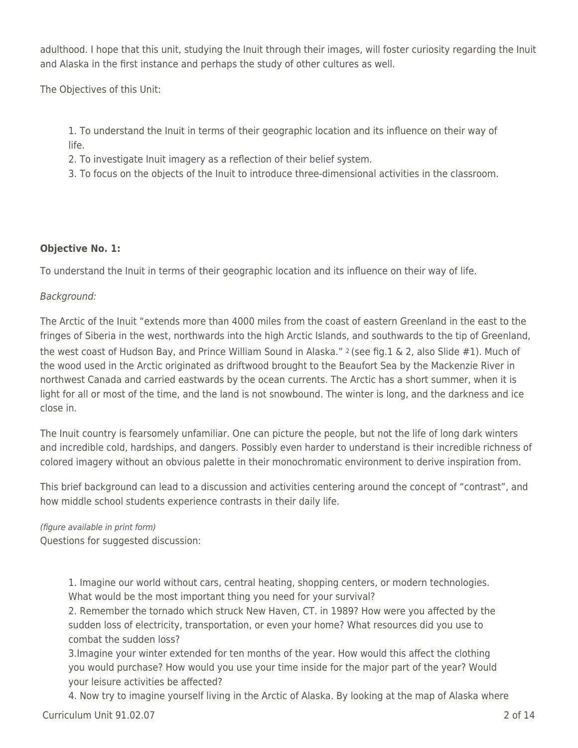adulthood. I hope that this unit, studying the Inuit through their images, will foster curiosity regarding the Inuit and Alaska in the first instance and perhaps the study of other cultures as well.

The Objectives of this Unit:

1. To understand the Inuit in terms of their geographic location and its influence on their way of life.

2. To investigate Inuit imagery as a reflection of their belief system.

3. To focus on the objects of the Inuit to introduce three-dimensional activities in the classroom.

# **Objective No. 1:**

To understand the Inuit in terms of their geographic location and its influence on their way of life.

# Background:

The Arctic of the Inuit "extends more than 4000 miles from the coast of eastern Greenland in the east to the fringes of Siberia in the west, northwards into the high Arctic Islands, and southwards to the tip of Greenland, the west coast of Hudson Bay, and Prince William Sound in Alaska." <sup>2</sup> (see fig.1 & 2, also Slide #1). Much of the wood used in the Arctic originated as driftwood brought to the Beaufort Sea by the Mackenzie River in northwest Canada and carried eastwards by the ocean currents. The Arctic has a short summer, when it is light for all or most of the time, and the land is not snowbound. The winter is long, and the darkness and ice close in.

The Inuit country is fearsomely unfamiliar. One can picture the people, but not the life of long dark winters and incredible cold, hardships, and dangers. Possibly even harder to understand is their incredible richness of colored imagery without an obvious palette in their monochromatic environment to derive inspiration from.

This brief background can lead to a discussion and activities centering around the concept of "contrast", and how middle school students experience contrasts in their daily life.

## (figure available in print form)

Questions for suggested discussion:

1. Imagine our world without cars, central heating, shopping centers, or modern technologies. What would be the most important thing you need for your survival?

2. Remember the tornado which struck New Haven, CT. in 1989? How were you affected by the sudden loss of electricity, transportation, or even your home? What resources did you use to combat the sudden loss?

3.Imagine your winter extended for ten months of the year. How would this affect the clothing you would purchase? How would you use your time inside for the major part of the year? Would your leisure activities be affected?

4. Now try to imagine yourself living in the Arctic of Alaska. By looking at the map of Alaska where

# Curriculum Unit 91.02.07 2 of 14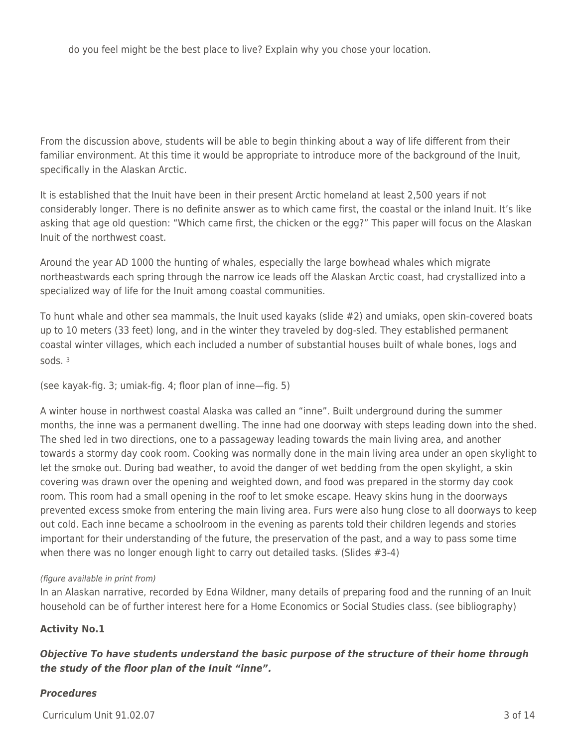do you feel might be the best place to live? Explain why you chose your location.

From the discussion above, students will be able to begin thinking about a way of life different from their familiar environment. At this time it would be appropriate to introduce more of the background of the Inuit, specifically in the Alaskan Arctic.

It is established that the Inuit have been in their present Arctic homeland at least 2,500 years if not considerably longer. There is no definite answer as to which came first, the coastal or the inland Inuit. It's like asking that age old question: "Which came first, the chicken or the egg?" This paper will focus on the Alaskan Inuit of the northwest coast.

Around the year AD 1000 the hunting of whales, especially the large bowhead whales which migrate northeastwards each spring through the narrow ice leads off the Alaskan Arctic coast, had crystallized into a specialized way of life for the Inuit among coastal communities.

To hunt whale and other sea mammals, the Inuit used kayaks (slide #2) and umiaks, open skin-covered boats up to 10 meters (33 feet) long, and in the winter they traveled by dog-sled. They established permanent coastal winter villages, which each included a number of substantial houses built of whale bones, logs and sods. <sup>3</sup>

(see kayak-fig. 3; umiak-fig. 4; floor plan of inne—fig. 5)

A winter house in northwest coastal Alaska was called an "inne". Built underground during the summer months, the inne was a permanent dwelling. The inne had one doorway with steps leading down into the shed. The shed led in two directions, one to a passageway leading towards the main living area, and another towards a stormy day cook room. Cooking was normally done in the main living area under an open skylight to let the smoke out. During bad weather, to avoid the danger of wet bedding from the open skylight, a skin covering was drawn over the opening and weighted down, and food was prepared in the stormy day cook room. This room had a small opening in the roof to let smoke escape. Heavy skins hung in the doorways prevented excess smoke from entering the main living area. Furs were also hung close to all doorways to keep out cold. Each inne became a schoolroom in the evening as parents told their children legends and stories important for their understanding of the future, the preservation of the past, and a way to pass some time when there was no longer enough light to carry out detailed tasks. (Slides #3-4)

### (figure available in print from)

In an Alaskan narrative, recorded by Edna Wildner, many details of preparing food and the running of an Inuit household can be of further interest here for a Home Economics or Social Studies class. (see bibliography)

### **Activity No.1**

*Objective To have students understand the basic purpose of the structure of their home through the study of the floor plan of the Inuit "inne".*

### *Procedures*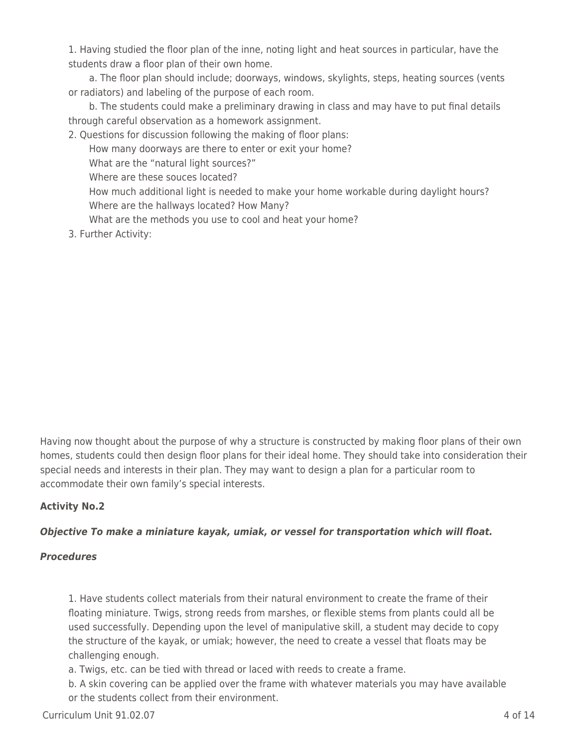1. Having studied the floor plan of the inne, noting light and heat sources in particular, have the students draw a floor plan of their own home.

a. The floor plan should include; doorways, windows, skylights, steps, heating sources (vents or radiators) and labeling of the purpose of each room.

b. The students could make a preliminary drawing in class and may have to put final details through careful observation as a homework assignment.

2. Questions for discussion following the making of floor plans:

How many doorways are there to enter or exit your home?

What are the "natural light sources?"

Where are these souces located?

How much additional light is needed to make your home workable during daylight hours? Where are the hallways located? How Many?

What are the methods you use to cool and heat your home?

3. Further Activity:

Having now thought about the purpose of why a structure is constructed by making floor plans of their own homes, students could then design floor plans for their ideal home. They should take into consideration their special needs and interests in their plan. They may want to design a plan for a particular room to accommodate their own family's special interests.

# **Activity No.2**

# *Objective To make a miniature kayak, umiak, or vessel for transportation which will float.*

# *Procedures*

1. Have students collect materials from their natural environment to create the frame of their floating miniature. Twigs, strong reeds from marshes, or flexible stems from plants could all be used successfully. Depending upon the level of manipulative skill, a student may decide to copy the structure of the kayak, or umiak; however, the need to create a vessel that floats may be challenging enough.

a. Twigs, etc. can be tied with thread or laced with reeds to create a frame.

b. A skin covering can be applied over the frame with whatever materials you may have available or the students collect from their environment.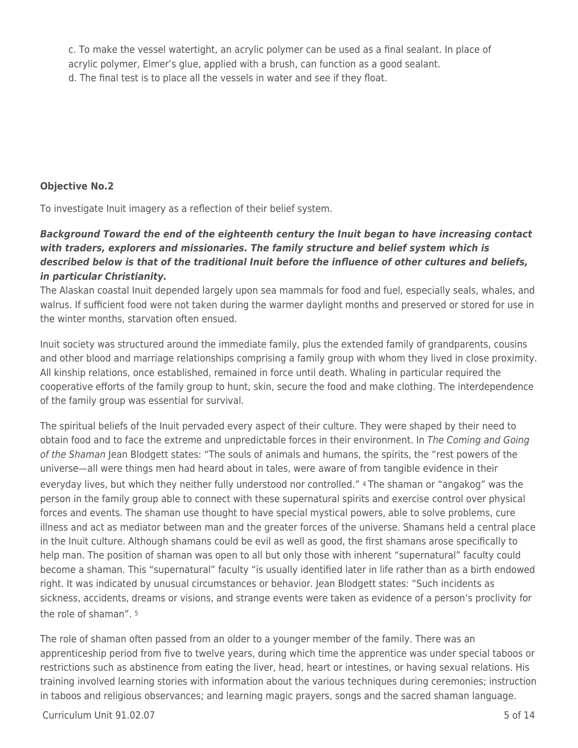c. To make the vessel watertight, an acrylic polymer can be used as a final sealant. In place of acrylic polymer, Elmer's glue, applied with a brush, can function as a good sealant. d. The final test is to place all the vessels in water and see if they float.

## **Objective No.2**

To investigate Inuit imagery as a reflection of their belief system.

# *Background Toward the end of the eighteenth century the Inuit began to have increasing contact with traders, explorers and missionaries. The family structure and belief system which is described below is that of the traditional Inuit before the influence of other cultures and beliefs, in particular Christianity.*

The Alaskan coastal Inuit depended largely upon sea mammals for food and fuel, especially seals, whales, and walrus. If sufficient food were not taken during the warmer daylight months and preserved or stored for use in the winter months, starvation often ensued.

Inuit society was structured around the immediate family, plus the extended family of grandparents, cousins and other blood and marriage relationships comprising a family group with whom they lived in close proximity. All kinship relations, once established, remained in force until death. Whaling in particular required the cooperative efforts of the family group to hunt, skin, secure the food and make clothing. The interdependence of the family group was essential for survival.

The spiritual beliefs of the Inuit pervaded every aspect of their culture. They were shaped by their need to obtain food and to face the extreme and unpredictable forces in their environment. In The Coming and Going of the Shaman Jean Blodgett states: "The souls of animals and humans, the spirits, the "rest powers of the universe—all were things men had heard about in tales, were aware of from tangible evidence in their everyday lives, but which they neither fully understood nor controlled." 4 The shaman or "angakog" was the person in the family group able to connect with these supernatural spirits and exercise control over physical forces and events. The shaman use thought to have special mystical powers, able to solve problems, cure illness and act as mediator between man and the greater forces of the universe. Shamans held a central place in the Inuit culture. Although shamans could be evil as well as good, the first shamans arose specifically to help man. The position of shaman was open to all but only those with inherent "supernatural" faculty could become a shaman. This "supernatural" faculty "is usually identified later in life rather than as a birth endowed right. It was indicated by unusual circumstances or behavior. Jean Blodgett states: "Such incidents as sickness, accidents, dreams or visions, and strange events were taken as evidence of a person's proclivity for the role of shaman". <sup>5</sup>

The role of shaman often passed from an older to a younger member of the family. There was an apprenticeship period from five to twelve years, during which time the apprentice was under special taboos or restrictions such as abstinence from eating the liver, head, heart or intestines, or having sexual relations. His training involved learning stories with information about the various techniques during ceremonies; instruction in taboos and religious observances; and learning magic prayers, songs and the sacred shaman language.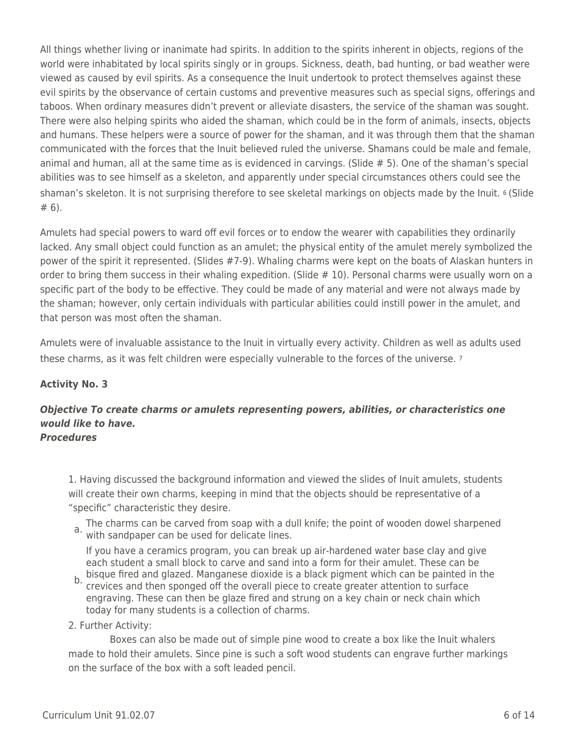All things whether living or inanimate had spirits. In addition to the spirits inherent in objects, regions of the world were inhabitated by local spirits singly or in groups. Sickness, death, bad hunting, or bad weather were viewed as caused by evil spirits. As a consequence the Inuit undertook to protect themselves against these evil spirits by the observance of certain customs and preventive measures such as special signs, offerings and taboos. When ordinary measures didn't prevent or alleviate disasters, the service of the shaman was sought. There were also helping spirits who aided the shaman, which could be in the form of animals, insects, objects and humans. These helpers were a source of power for the shaman, and it was through them that the shaman communicated with the forces that the Inuit believed ruled the universe. Shamans could be male and female, animal and human, all at the same time as is evidenced in carvings. (Slide # 5). One of the shaman's special abilities was to see himself as a skeleton, and apparently under special circumstances others could see the shaman's skeleton. It is not surprising therefore to see skeletal markings on objects made by the Inuit. 6 (Slide # 6).

Amulets had special powers to ward off evil forces or to endow the wearer with capabilities they ordinarily lacked. Any small object could function as an amulet; the physical entity of the amulet merely symbolized the power of the spirit it represented. (Slides #7-9). Whaling charms were kept on the boats of Alaskan hunters in order to bring them success in their whaling expedition. (Slide # 10). Personal charms were usually worn on a specific part of the body to be effective. They could be made of any material and were not always made by the shaman; however, only certain individuals with particular abilities could instill power in the amulet, and that person was most often the shaman.

Amulets were of invaluable assistance to the Inuit in virtually every activity. Children as well as adults used these charms, as it was felt children were especially vulnerable to the forces of the universe. <sup>7</sup>

## **Activity No. 3**

# *Objective To create charms or amulets representing powers, abilities, or characteristics one would like to have.*

### *Procedures*

1. Having discussed the background information and viewed the slides of Inuit amulets, students will create their own charms, keeping in mind that the objects should be representative of a "specific" characteristic they desire.

The charms can be carved from soap with a dull knife; the point of wooden dowel sharpened<br>a. with candpaper can be used for delicate lines with sandpaper can be used for delicate lines.

If you have a ceramics program, you can break up air-hardened water base clay and give each student a small block to carve and sand into a form for their amulet. These can be

- bisque fired and glazed. Manganese dioxide is a black pigment which can be painted in the<br>b. croviege and then cronged off the overall piece to create greater attention to surface. crevices and then sponged off the overall piece to create greater attention to surface engraving. These can then be glaze fired and strung on a key chain or neck chain which today for many students is a collection of charms.
- 2. Further Activity:

Boxes can also be made out of simple pine wood to create a box like the Inuit whalers made to hold their amulets. Since pine is such a soft wood students can engrave further markings on the surface of the box with a soft leaded pencil.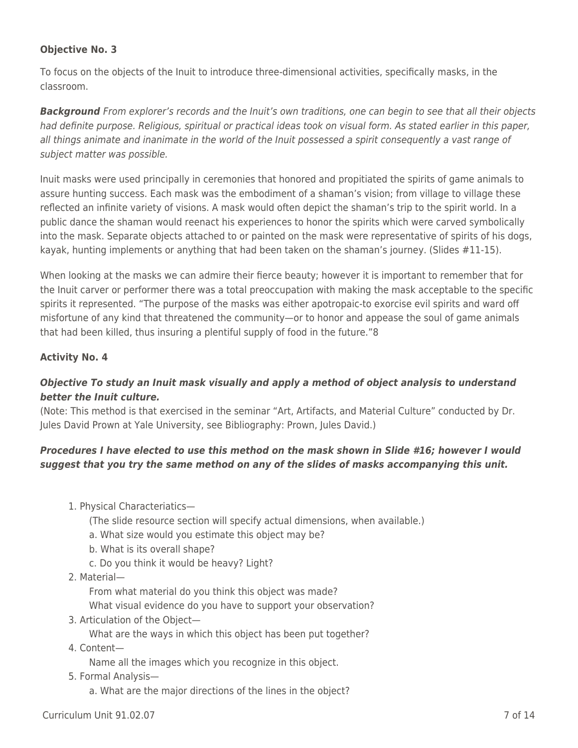## **Objective No. 3**

To focus on the objects of the Inuit to introduce three-dimensional activities, specifically masks, in the classroom.

*Background* From explorer's records and the Inuit's own traditions, one can begin to see that all their objects had definite purpose. Religious, spiritual or practical ideas took on visual form. As stated earlier in this paper, all things animate and inanimate in the world of the Inuit possessed a spirit consequently a vast range of subject matter was possible.

Inuit masks were used principally in ceremonies that honored and propitiated the spirits of game animals to assure hunting success. Each mask was the embodiment of a shaman's vision; from village to village these reflected an infinite variety of visions. A mask would often depict the shaman's trip to the spirit world. In a public dance the shaman would reenact his experiences to honor the spirits which were carved symbolically into the mask. Separate objects attached to or painted on the mask were representative of spirits of his dogs, kayak, hunting implements or anything that had been taken on the shaman's journey. (Slides #11-15).

When looking at the masks we can admire their fierce beauty; however it is important to remember that for the Inuit carver or performer there was a total preoccupation with making the mask acceptable to the specific spirits it represented. "The purpose of the masks was either apotropaic-to exorcise evil spirits and ward off misfortune of any kind that threatened the community—or to honor and appease the soul of game animals that had been killed, thus insuring a plentiful supply of food in the future."8

## **Activity No. 4**

# *Objective To study an Inuit mask visually and apply a method of object analysis to understand better the Inuit culture.*

(Note: This method is that exercised in the seminar "Art, Artifacts, and Material Culture" conducted by Dr. Jules David Prown at Yale University, see Bibliography: Prown, Jules David.)

# *Procedures I have elected to use this method on the mask shown in Slide #16; however I would suggest that you try the same method on any of the slides of masks accompanying this unit.*

- 1. Physical Characteriatics—
	- (The slide resource section will specify actual dimensions, when available.)
	- a. What size would you estimate this object may be?
	- b. What is its overall shape?
	- c. Do you think it would be heavy? Light?
- 2. Material—

From what material do you think this object was made?

What visual evidence do you have to support your observation?

3. Articulation of the Object—

What are the ways in which this object has been put together?

4. Content—

Name all the images which you recognize in this object.

5. Formal Analysis—

a. What are the major directions of the lines in the object?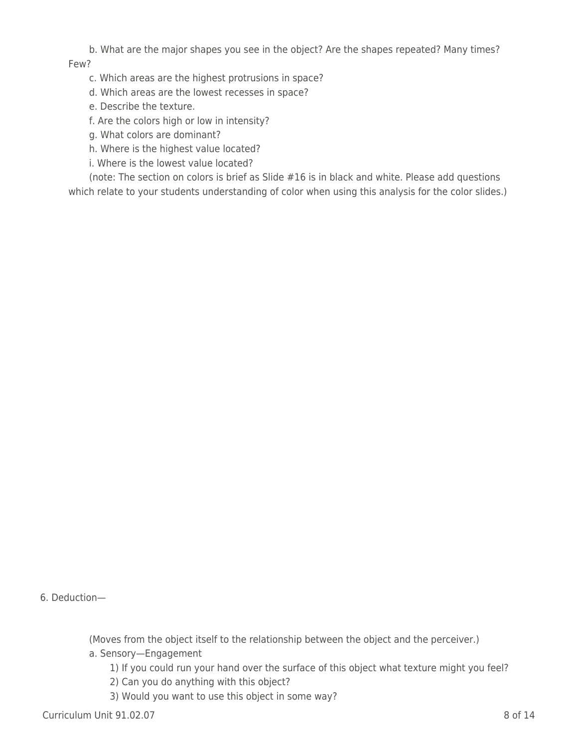b. What are the major shapes you see in the object? Are the shapes repeated? Many times? Few?

- c. Which areas are the highest protrusions in space?
- d. Which areas are the lowest recesses in space?
- e. Describe the texture.
- f. Are the colors high or low in intensity?
- \_\_\_\_ g. What colors are dominant?
- h. Where is the highest value located?
- i. Where is the lowest value located?

(note: The section on colors is brief as Slide #16 is in black and white. Please add questions which relate to your students understanding of color when using this analysis for the color slides.)

6. Deduction—

(Moves from the object itself to the relationship between the object and the perceiver.) a. Sensory—Engagement

1) If you could run your hand over the surface of this object what texture might you feel?

2) Can you do anything with this object?

3) Would you want to use this object in some way?

 $C$ urriculum Unit 91.02.07  $\qquad \qquad$  8 of 14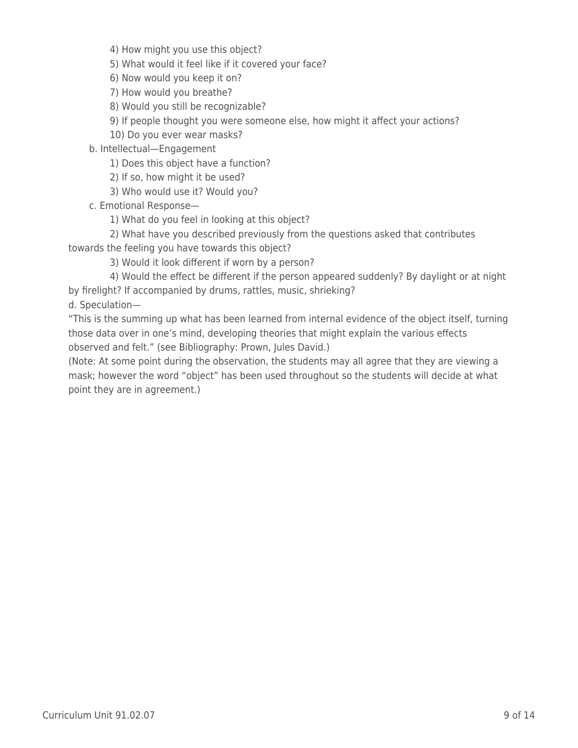4) How might you use this object?

5) What would it feel like if it covered your face?

6) Now would you keep it on?

7) How would you breathe?

8) Would you still be recognizable?

9) If people thought you were someone else, how might it affect your actions?

10) Do you ever wear masks?

b. Intellectual—Engagement

1) Does this object have a function?

2) If so, how might it be used?

3) Who would use it? Would you?

\_\_\_\_ c. Emotional Response—

1) What do you feel in looking at this object?

2) What have you described previously from the questions asked that contributes towards the feeling you have towards this object?

3) Would it look different if worn by a person?

\_\_\_\_ \_\_\_\_ 4) Would the effect be different if the person appeared suddenly? By daylight or at night by firelight? If accompanied by drums, rattles, music, shrieking?

d. Speculation—

"This is the summing up what has been learned from internal evidence of the object itself, turning those data over in one's mind, developing theories that might explain the various effects observed and felt." (see Bibliography: Prown, Jules David.)

(Note: At some point during the observation, the students may all agree that they are viewing a mask; however the word "object" has been used throughout so the students will decide at what point they are in agreement.)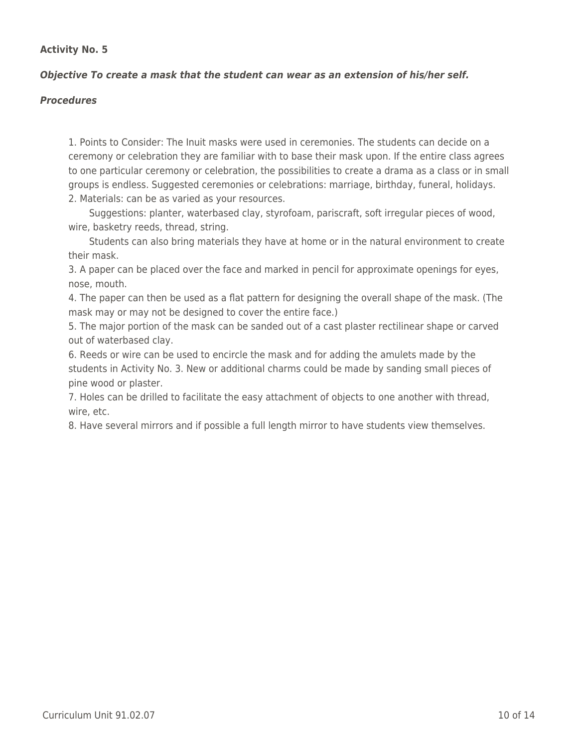### **Activity No. 5**

### *Objective To create a mask that the student can wear as an extension of his/her self.*

#### *Procedures*

1. Points to Consider: The Inuit masks were used in ceremonies. The students can decide on a ceremony or celebration they are familiar with to base their mask upon. If the entire class agrees to one particular ceremony or celebration, the possibilities to create a drama as a class or in small groups is endless. Suggested ceremonies or celebrations: marriage, birthday, funeral, holidays. 2. Materials: can be as varied as your resources.

Suggestions: planter, waterbased clay, styrofoam, pariscraft, soft irregular pieces of wood, wire, basketry reeds, thread, string.

\_\_\_\_ Students can also bring materials they have at home or in the natural environment to create their mask.

3. A paper can be placed over the face and marked in pencil for approximate openings for eyes, nose, mouth.

4. The paper can then be used as a flat pattern for designing the overall shape of the mask. (The mask may or may not be designed to cover the entire face.)

5. The major portion of the mask can be sanded out of a cast plaster rectilinear shape or carved out of waterbased clay.

6. Reeds or wire can be used to encircle the mask and for adding the amulets made by the students in Activity No. 3. New or additional charms could be made by sanding small pieces of pine wood or plaster.

7. Holes can be drilled to facilitate the easy attachment of objects to one another with thread, wire, etc.

8. Have several mirrors and if possible a full length mirror to have students view themselves.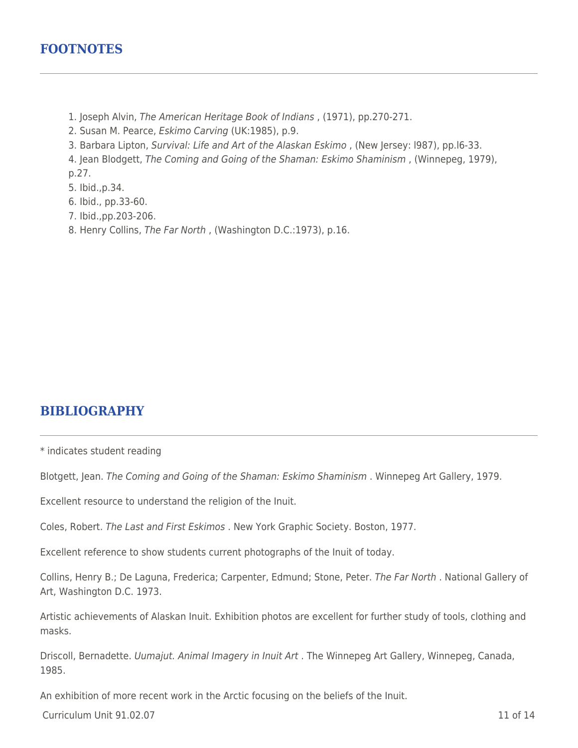# **FOOTNOTES**

- 1. Joseph Alvin, The American Heritage Book of Indians , (1971), pp.270-271.
- 2. Susan M. Pearce, Eskimo Carving (UK:1985), p.9.
- 3. Barbara Lipton, Survival: Life and Art of the Alaskan Eskimo , (New Jersey: l987), pp.l6-33.
- 4. Jean Blodgett, The Coming and Going of the Shaman: Eskimo Shaminism , (Winnepeg, 1979), p.27.
- 5. Ibid.,p.34.
- 6. Ibid., pp.33-60.
- 7. Ibid.,pp.203-206.
- 8. Henry Collins, The Far North , (Washington D.C.:1973), p.16.

# **BIBLIOGRAPHY**

\* indicates student reading

Blotgett, Jean. The Coming and Going of the Shaman: Eskimo Shaminism. Winnepeg Art Gallery, 1979.

Excellent resource to understand the religion of the Inuit.

Coles, Robert. The Last and First Eskimos . New York Graphic Society. Boston, 1977.

Excellent reference to show students current photographs of the Inuit of today.

Collins, Henry B.; De Laguna, Frederica; Carpenter, Edmund; Stone, Peter. The Far North . National Gallery of Art, Washington D.C. 1973.

Artistic achievements of Alaskan Inuit. Exhibition photos are excellent for further study of tools, clothing and masks.

Driscoll, Bernadette. *Uumajut. Animal Imagery in Inuit Art* . The Winnepeg Art Gallery, Winnepeg, Canada, 1985.

An exhibition of more recent work in the Arctic focusing on the beliefs of the Inuit.

Curriculum Unit 91.02.07 11 of 14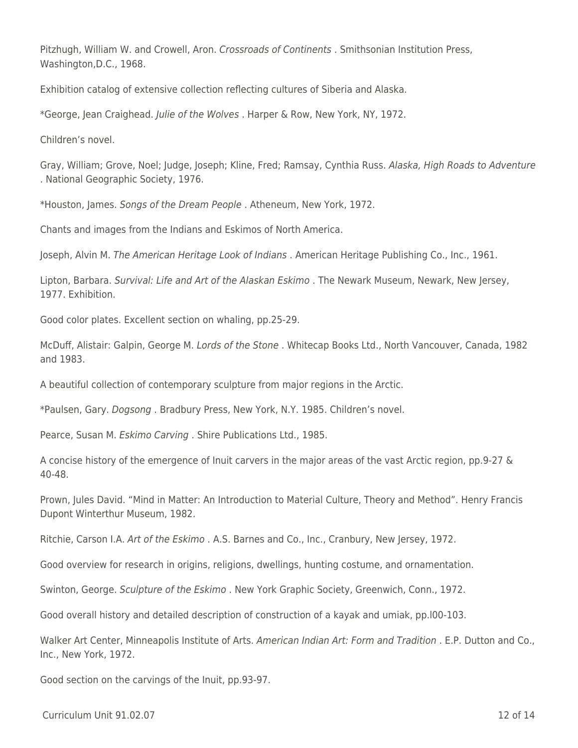Pitzhugh, William W. and Crowell, Aron. Crossroads of Continents . Smithsonian Institution Press, Washington,D.C., 1968.

Exhibition catalog of extensive collection reflecting cultures of Siberia and Alaska.

\*George, Jean Craighead. Julie of the Wolves . Harper & Row, New York, NY, 1972.

Children's novel.

Gray, William; Grove, Noel; Judge, Joseph; Kline, Fred; Ramsay, Cynthia Russ. Alaska, High Roads to Adventure . National Geographic Society, 1976.

\*Houston, James. Songs of the Dream People . Atheneum, New York, 1972.

Chants and images from the Indians and Eskimos of North America.

Joseph, Alvin M. The American Heritage Look of Indians . American Heritage Publishing Co., Inc., 1961.

Lipton, Barbara. Survival: Life and Art of the Alaskan Eskimo . The Newark Museum, Newark, New Jersey, 1977. Exhibition.

Good color plates. Excellent section on whaling, pp.25-29.

McDuff, Alistair: Galpin, George M. Lords of the Stone . Whitecap Books Ltd., North Vancouver, Canada, 1982 and 1983.

A beautiful collection of contemporary sculpture from major regions in the Arctic.

\*Paulsen, Gary. Dogsong . Bradbury Press, New York, N.Y. 1985. Children's novel.

Pearce, Susan M. Eskimo Carving. Shire Publications Ltd., 1985.

A concise history of the emergence of Inuit carvers in the major areas of the vast Arctic region, pp.9-27 & 40-48.

Prown, Jules David. "Mind in Matter: An Introduction to Material Culture, Theory and Method". Henry Francis Dupont Winterthur Museum, 1982.

Ritchie, Carson I.A. Art of the Eskimo . A.S. Barnes and Co., Inc., Cranbury, New Jersey, 1972.

Good overview for research in origins, religions, dwellings, hunting costume, and ornamentation.

Swinton, George. Sculpture of the Eskimo . New York Graphic Society, Greenwich, Conn., 1972.

Good overall history and detailed description of construction of a kayak and umiak, pp.l00-103.

Walker Art Center, Minneapolis Institute of Arts. American Indian Art: Form and Tradition . E.P. Dutton and Co., Inc., New York, 1972.

Good section on the carvings of the Inuit, pp.93-97.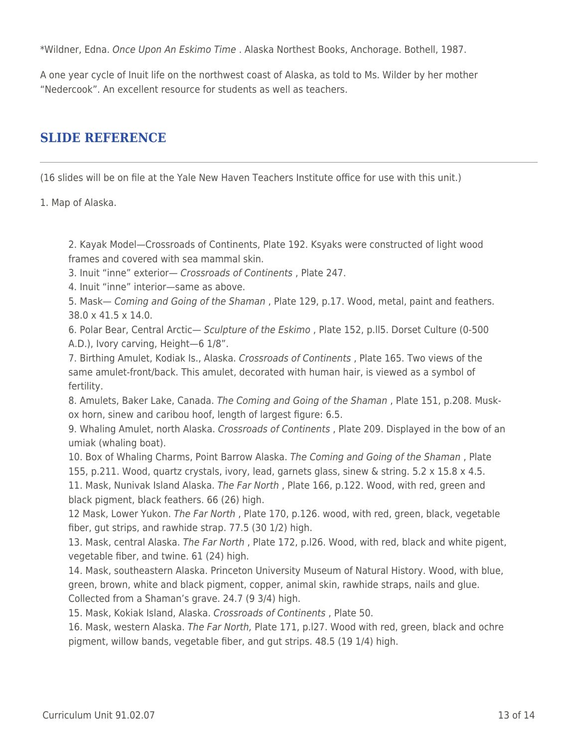\*Wildner, Edna. Once Upon An Eskimo Time . Alaska Northest Books, Anchorage. Bothell, 1987.

A one year cycle of Inuit life on the northwest coast of Alaska, as told to Ms. Wilder by her mother "Nedercook". An excellent resource for students as well as teachers.

# **SLIDE REFERENCE**

(16 slides will be on file at the Yale New Haven Teachers Institute office for use with this unit.)

1. Map of Alaska.

2. Kayak Model—Crossroads of Continents, Plate 192. Ksyaks were constructed of light wood frames and covered with sea mammal skin.

3. Inuit "inne" exterior— Crossroads of Continents , Plate 247.

4. Inuit "inne" interior—same as above.

5. Mask— Coming and Going of the Shaman , Plate 129, p.17. Wood, metal, paint and feathers. 38.0 x 41.5 x 14.0.

6. Polar Bear, Central Arctic— Sculpture of the Eskimo , Plate 152, p.ll5. Dorset Culture (0-500 A.D.), Ivory carving, Height—6 1/8".

7. Birthing Amulet, Kodiak Is., Alaska. Crossroads of Continents , Plate 165. Two views of the same amulet-front/back. This amulet, decorated with human hair, is viewed as a symbol of fertility.

8. Amulets, Baker Lake, Canada. The Coming and Going of the Shaman , Plate 151, p.208. Muskox horn, sinew and caribou hoof, length of largest figure: 6.5.

9. Whaling Amulet, north Alaska. Crossroads of Continents, Plate 209. Displayed in the bow of an umiak (whaling boat).

10. Box of Whaling Charms, Point Barrow Alaska. The Coming and Going of the Shaman, Plate 155, p.211. Wood, quartz crystals, ivory, lead, garnets glass, sinew & string. 5.2 x 15.8 x 4.5. 11. Mask, Nunivak Island Alaska. The Far North, Plate 166, p.122. Wood, with red, green and

black pigment, black feathers. 66 (26) high.

12 Mask, Lower Yukon. The Far North , Plate 170, p.126. wood, with red, green, black, vegetable fiber, gut strips, and rawhide strap. 77.5 (30 1/2) high.

13. Mask, central Alaska. The Far North , Plate 172, p.l26. Wood, with red, black and white pigent, vegetable fiber, and twine. 61 (24) high.

14. Mask, southeastern Alaska. Princeton University Museum of Natural History. Wood, with blue, green, brown, white and black pigment, copper, animal skin, rawhide straps, nails and glue. Collected from a Shaman's grave. 24.7 (9 3/4) high.

15. Mask, Kokiak Island, Alaska. Crossroads of Continents , Plate 50.

16. Mask, western Alaska. The Far North, Plate 171, p.l27. Wood with red, green, black and ochre pigment, willow bands, vegetable fiber, and gut strips. 48.5 (19 1/4) high.